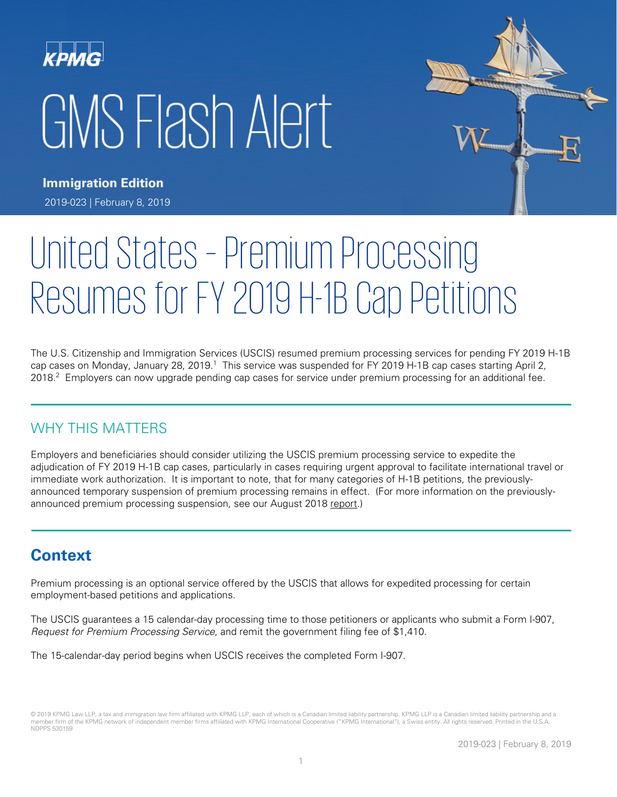# GMS Flash Alert



**Immigration Edition** 2019-023 | February 8, 2019

# United States – Premium Processing Resumes for FY 2019 H-1B Cap Petitions

The U.S. Citizenship and Immigration Services (USCIS) resumed [premium processing services for pending FY 2019 H-1B](https://www.uscis.gov/news/alerts/uscis-resumes-premium-processing-fiscal-year-2019-h-1b-cap-petitions)  [cap cases](https://www.uscis.gov/news/alerts/uscis-resumes-premium-processing-fiscal-year-2019-h-1b-cap-petitions) on Monday, January 28, 2019.<sup>1</sup> This service was suspended for FY 2019 H-1B cap cases starting April 2, 2018.<sup>2</sup> Employers can now upgrade pending cap cases for service under premium processing for an additional fee.

# WHY THIS MATTERS

Employers and beneficiaries should consider utilizing the USCIS premium processing service to expedite the adjudication of FY 2019 H-1B cap cases, particularly in cases requiring urgent approval to facilitate international travel or immediate work authorization. It is important to note, that for many categories of H-1B petitions, the [previously](https://www.uscis.gov/node/68236)[announced](https://www.uscis.gov/node/68236) temporary suspension of premium processing remains in effect. (For more information on the previouslyannounced premium processing suspension, see our August 2018 [report.](https://home.kpmg/xx/en/home/insights/2018/08/flash-alert-2018-116.html))

# **Context**

Premium processing is an optional service offered by the USCIS that allows for expedited processing for certain employment-based petitions and applications.

The USCIS guarantees a 15 calendar-day processing time to those petitioners or applicants who submit a Form I-907, Request for Premium Processing Service, and remit the government filing fee of \$1,410.

The 15-calendar-day period begins when USCIS receives the completed Form I-907.

<sup>© 2019</sup> KPMG Law LLP, a tax and immigration law firm affiliated with KPMG LLP, each of which is a Canadian limited liability partnership. KPMG LLP is a Canadian limited liability partnership and a member firm of the KPMG network of independent member firms affiliated with KPMG International Cooperative ("KPMG International"), a Swiss entity. All rights reserved. Printed in the U.S.A. NDPPS 530159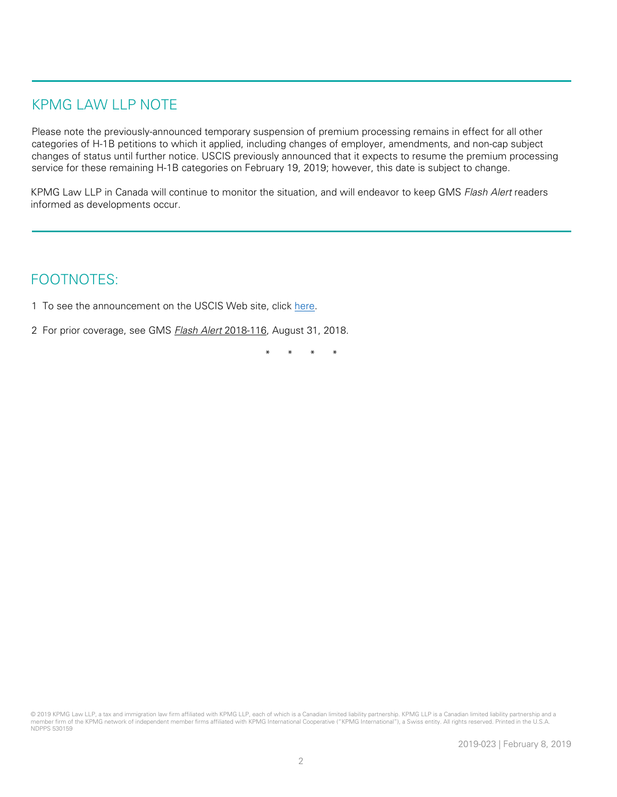## KPMG LAW LLP NOTE

Please note the [previously-announced](https://www.uscis.gov/node/68236) temporary suspension of premium processing remains in effect for all other categories of H-1B petitions to which it applied, including changes of employer, amendments, and non-cap subject changes of status until further notice. USCIS previously announced that it expects to resume the premium processing service for these remaining H-1B categories on February 19, 2019; however, this date is subject to change.

KPMG Law LLP in Canada will continue to monitor the situation, and will endeavor to keep GMS Flash Alert readers informed as developments occur.

## FOOTNOTES:

- 1 To see the announcement on the USCIS Web site, click [here.](https://www.uscis.gov/news/alerts/uscis-resumes-premium-processing-fiscal-year-2019-h-1b-cap-petitions)
- 2 For prior coverage, see GMS **Flash Alert 2018-116**, August 31, 2018.

\* \* \* \*

<sup>© 2019</sup> KPMG Law LLP, a tax and immigration law firm affiliated with KPMG LLP, each of which is a Canadian limited liability partnership. KPMG LLP is a Canadian limited liability partnership and a member firm of the KPMG network of independent member firms affiliated with KPMG International Cooperative ("KPMG International"), a Swiss entity. All rights reserved. Printed in the U.S.A. NDPPS 530159